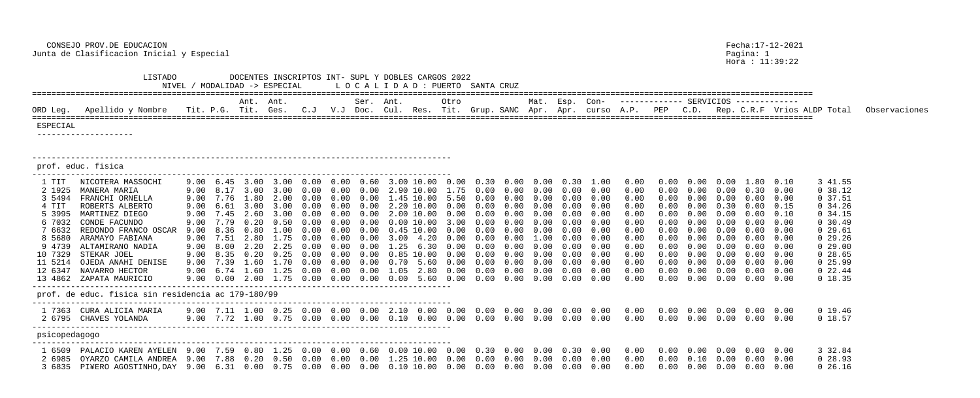Hora : 11:39:22

| ORD Leg. Apellido y Nombre Tit. P.G. Tit. Ges. C.J V.J Doc. Cul. Res. Tit. Grup. SANC Apr. Apr. curso A.P. PEP C.D. Rep. C.R.F Vrios ALDP Total Observaciones |  | Ant. Ant. |  | Ser. Ant. | Otro |  |  |  |  | Mat. Esp. Con-    -------------    SERVICIOS    ------------ |  |
|---------------------------------------------------------------------------------------------------------------------------------------------------------------|--|-----------|--|-----------|------|--|--|--|--|--------------------------------------------------------------|--|
|                                                                                                                                                               |  |           |  |           |      |  |  |  |  |                                                              |  |

| .00 | 0.30 | 0.00 | 0.00 | 0.30 | 1.00 | 0.00 | 0.00 | 0.00 | 0.00 | 1.80 | 0.10 | 3 41.55                 |
|-----|------|------|------|------|------|------|------|------|------|------|------|-------------------------|
| .75 | 0.00 | 0.00 | 0.00 | 0.00 | 0.00 | 0.00 | 0.00 | 0.00 | 0.00 | 0.30 | 0.00 | 38.12<br>$\overline{0}$ |
| .50 | 0.00 | 0.00 | 0.00 | 0.00 | 0.00 | 0.00 | 0.00 | 0.00 | 0.00 | 0.00 | 0.00 | 37.51<br>0              |
| .00 | 0.00 | 0.00 | 0.00 | 0.00 | 0.00 | 0.00 | 0.00 | 0.00 | 0.30 | 0.00 | 0.15 | 34.26<br>$\overline{0}$ |
| .00 | 0.00 | 0.00 | 0.00 | 0.00 | 0.00 | 0.00 | 0.00 | 0.00 | 0.00 | 0.00 | 0.10 | 34.15<br>$\overline{0}$ |
| .00 | 0.00 | 0.00 | 0.00 | 0.00 | 0.00 | 0.00 | 0.00 | 0.00 | 0.00 | 0.00 | 0.00 | 30.49<br>$\overline{0}$ |
| .00 | 0.00 | 0.00 | 0.00 | 0.00 | 0.00 | 0.00 | 0.00 | 0.00 | 0.00 | 0.00 | 0.00 | 29.61<br>$\overline{0}$ |
| .00 | 0.00 | 0.00 | 1.00 | 0.00 | 0.00 | 0.00 | 0.00 | 0.00 | 0.00 | 0.00 | 0.00 | 29.26<br>$\overline{0}$ |
| .00 | 0.00 | 0.00 | 0.00 | 0.00 | 0.00 | 0.00 | 0.00 | 0.00 | 0.00 | 0.00 | 0.00 | 29.00<br>$\overline{0}$ |
| .00 | 0.00 | 0.00 | 0.00 | 0.00 | 0.00 | 0.00 | 0.00 | 0.00 | 0.00 | 0.00 | 0.00 | 28.65<br>$\overline{0}$ |
| .00 | 0.00 | 0.00 | 0.00 | 0.00 | 0.00 | 0.00 | 0.00 | 0.00 | 0.00 | 0.00 | 0.00 | 25.99<br>$\overline{0}$ |
| .00 | 0.00 | 0.00 | 0.00 | 0.00 | 0.00 | 0.00 | 0.00 | 0.00 | 0.00 | 0.00 | 0.00 | 22.44<br>$\overline{0}$ |
| .00 | 0.00 | 0.00 | 0.00 | 0.00 | 0.00 | 0.00 | 0.00 | 0.00 | 0.00 | 0.00 | 0.00 | 18.35<br>0              |
|     |      |      |      |      |      |      |      |      |      |      |      |                         |
|     |      |      |      |      |      |      |      |      |      |      |      |                         |
|     |      |      |      |      |      |      |      |      |      |      |      |                         |
| .00 | 0.00 | 0.00 | 0.00 | 0.00 | 0.00 | 0.00 | 0.00 | 0.00 | 0.00 | 0.00 | 0.00 | 0 19.46                 |
| .00 | 0.00 | 0.00 | 0.00 | 0.00 | 0.00 | 0.00 | 0.00 | 0.00 | 0.00 | 0.00 | 0.00 | 18.57<br>$\overline{0}$ |
|     |      |      |      |      |      |      |      |      |      |      |      |                         |
|     |      |      |      |      |      |      |      |      |      |      |      |                         |
| .00 | 0.30 | 0.00 | 0.00 | 0.30 | 0.00 | 0.00 | 0.00 | 0.00 | 0.00 | 0.00 | 0.00 | 3 32.84                 |
| .00 | 0.00 | 0.00 | 0.00 | 0.00 | 0.00 | 0.00 | 0.00 | 0.10 | 0.00 | 0.00 | 0.00 | 28.93<br>$\overline{0}$ |
| .00 | 0.00 | 0.00 | 0.00 | 0.00 | 0.00 | 0.00 | 0.00 | 0.00 | 0.00 | 0.00 | 0.00 | 26.16<br>$\overline{0}$ |
|     |      |      |      |      |      |      |      |      |      |      |      |                         |

 CONSEJO PROV.DE EDUCACION Fecha:17-12-2021 Junta de Clasificacion Inicial y Especial

 LISTADO DOCENTES INSCRIPTOS INT- SUPL Y DOBLES CARGOS 2022 NIVEL / MODALIDAD -> ESPECIAL L O C A L I D A D : PUERTO SANTA CRUZ ================================================================================================================================================================== Ant. Ant. Ser. Ant. Otro Mat. Esp. Con- ------------- SERVICIOS ------------- ================================================================================================================================================================== ESPECIAL -------------------- -------------------------------------------------------------------------------------- prof. educ. fisica --------------------------------------------------------------------------------------- 1 TIT NICOTERA MASSOCHI 9.00 6.45 3.00 3.00 0.00 0.00 0.60 3.00 10.00 0.00 0.30 0.00 0.00 0.30 1.00 0.00 0.00 0.00 0.00 1.80 0.10 3 41.55 2 1925 MANERA MARIA 9.00 8.17 3.00 3.00 0.00 0.00 0.00 2.90 10.00 1.75 0.00 0.00 0.00 0.00 0.00 0.00 0.00 0.00 0.00 0.30 0.00 0 38.12 3 5494 FRANCHI ORNELLA 9.00 7.76 1.80 2.00 0.00 0.00 0.00 1.45 10.00 5 4 TIT ROBERTS ALBERTO 9.00 6.61 3.00 3.00 0.00 0.00 0.00 2.20 10.00 0.00 0.00 0.00 0.00 0.00 0.00 0.00 0.00 0.00 0.30 0.00 0.15 0 34.26 5 3995 MARTINEZ DIEGO 9.00 7.45 2.60 3.00 0.00 0.00 0.00 2.00 10.00 0.00 0.00 0.00 0.00 0.00 0.00 0.00 0.00 0.00 0.00 0.00 0.10 0 34.15 6 7032 CONDE FACUNDO 9.00 7.79 0.20 0.50 0.00 0.00 0.00 0.00 10.00 3.00 0.00 0.00 0.00 0.00 0.00 0.00 0.00 0.00 0.00 0.00 0.00 0 30.49 7 6632 REDONDO FRANCO OSCAR 9.00 8.36 0.80 1.00 0.00 0.00 0.00 0.45 10.00 0.00 0.00 0.00 0.00 0.00 0.00 0.00 0.00 0.00 0.00 0.00 0.00 0 29.61 8 5680 ARAMAYO FABIANA 9.00 7.51 2.80 1.75 0.00 0.00 0.00 3.00 4.20 0.00 0.00 0.00 1.00 0.00 0.00 0.00 0.00 0.00 0.00 0.00 0.00 0 29.26 9 4739 ALTAMIRANO NADIA 9.00 8.00 2.20 2.25 0.00 0.00 0.00 1.25 6.30 0.00 0.00 0.00 0.00 0.00 0.00 0.00 0.00 0.00 0.00 0.00 0.00 0 29.00 10 7329 STEKAR JOEL 9.00 8.35 0.20 0.25 0.00 0.00 0.00 0.85 10.00 0.00 0.00 0.00 0.00 0.00 0.00 0.00 0.00 0.00 0.00 0.00 0.00 0 28.65 11 5214 OJEDA ANAHI DENISE 9.00 7.39 1.60 1.70 0.00 0.00 0.00 0.70 5.60 0.00 0.00 0.00 0.00 0.00 0.00 0.00 0.00 0.00 0.00 0.00 0.00 0 25.99 9.00 6.74 1.60 1.25 0.00 0.00 0.00 1.05 2.80 0 13 4862 ZAPATA MAURICIO 9.00 0.00 2.00 1.75 0.00 0.00 0.00 0.00 5.60 0.00 0.00 0.00 0.00 0.00 0.00 0.00 0.00 0.00 0.00 0.00 0.00 0 18.35 -------------------------------------------------------------------------------------- prof. de educ. fisica sin residencia ac 179-180/99 --------------------------------------------------------------------------------------- 1 7363 CURA ALICIA MARIA 9.00 7.11 1.00 0.25 0.00 0.00 0.00 2.10 0.00 0.00 0.00 0.00 0.00 0.00 0.00 0.00 0.00 0.00 0.00 0.00 0.00 0 19.46 2 6795 CHAVES YOLANDA 9.00 7.72 1.00 0.75 0.00 0.00 0.00 0.10 0.00 0.00 0.00 0.00 0.00 0.00 0.00 0.00 0.00 0.00 0.00 0.00 0.00 0 18.57 -------------------------------------------------------------------------------------- psicopedagogo --------------------------------------------------------------------------------------- 1 6509 PALACIO KAREN AYELEN 9.00 7.59 0.80 1.25 0.00 0.00 0.60 0.00 10.00 0.00 0.30 0.00 0.00 0.30 0.00 0.00 0.00 0.00 0.00 0.00 0.00 3 32.84 2 6985 OYARZO CAMILA ANDREA 9.00 7.88 0.20 0.50 0.00 0.00 0.00 1.25 10.00 0.00 0.00 0.00 0.00 0.00 0.00 0.00 0.00 0.10 0.00 0.00 0.00 0 28.93 3 6835 PI¥ERO AGOSTINHO,DAY 9.00 6.31 0.00 0.75 0.00 0.00 0.00 0.10 10.00 0.00 0.00 0.00 0.00 0.00 0.00 0.00 0.00 0.00 0.00 0.00 0.00 0 26.16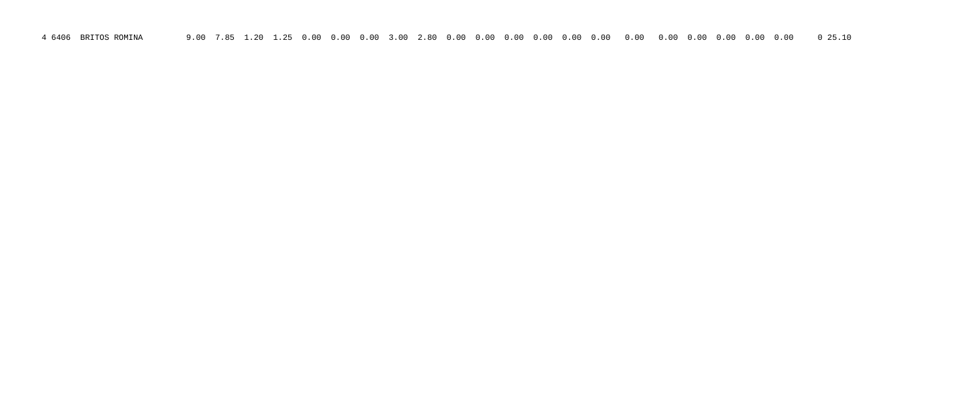4 6406 BRITOS ROMINA 9.00 7.85 1.20 1.25 0.00 0.00 0.00 3.00 2.80 0.00 0.00 0.00 0.00 0.00 0.00 0.00 0.00 0.00 0.00 0.00 0.00 0 25.10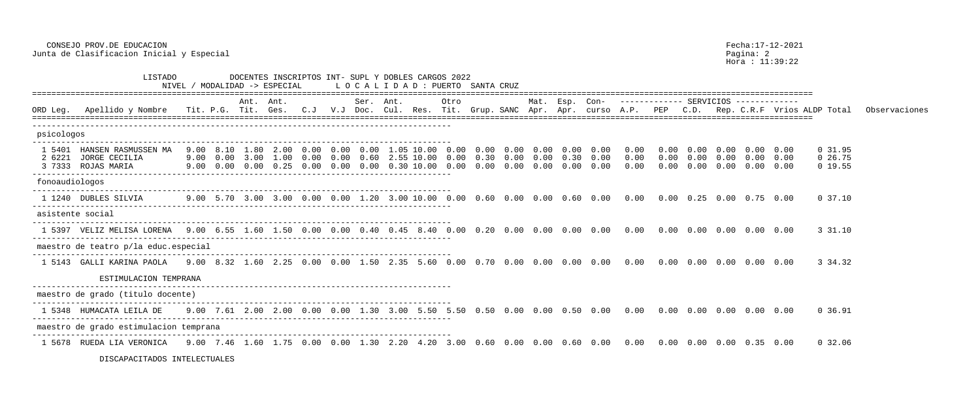CONSEJO PROV.DE EDUCACION Fecha:17-12-2021 Junta de Clasificacion Inicial y Especial entre establece en la pagina: 2

Hora : 11:39:22

|                | ⊔⊥ບ⊥ຕ∪                                                                                                                                                                                                                         | NIVEL / |           | DOCENTRO TNOCHILIOO INI - DULH I DONHHO CHROOD ZUZZ<br>' MODALIDAD -> ESPECIAL                                                                                                                    |  |           | LOCALIDAD: PUERTO SANTA CRUZ |      |                   |      |                |                                                                              |                      |                                       |                                    |                                                       |      |                               |               |
|----------------|--------------------------------------------------------------------------------------------------------------------------------------------------------------------------------------------------------------------------------|---------|-----------|---------------------------------------------------------------------------------------------------------------------------------------------------------------------------------------------------|--|-----------|------------------------------|------|-------------------|------|----------------|------------------------------------------------------------------------------|----------------------|---------------------------------------|------------------------------------|-------------------------------------------------------|------|-------------------------------|---------------|
|                |                                                                                                                                                                                                                                |         | Ant. Ant. |                                                                                                                                                                                                   |  | Ser. Ant. |                              | Otro |                   |      | Mat. Esp. Con- |                                                                              |                      | ------------- SERVICIOS ------------- |                                    |                                                       |      |                               |               |
| ORD Leg.       | Apellido y Nombre - Tit. P.G. Tit. Ges. C.J - V.J Doc. Cul. Res. Tit. Grup. SANC Apr. Apr. curso A.P. PEP - C.D. Rep. C.R.F Vrios ALDP Total                                                                                   |         |           |                                                                                                                                                                                                   |  |           |                              |      |                   |      |                |                                                                              |                      |                                       |                                    |                                                       |      |                               | Observaciones |
| psicologos     |                                                                                                                                                                                                                                |         |           |                                                                                                                                                                                                   |  |           |                              |      |                   |      |                |                                                                              |                      |                                       |                                    |                                                       |      |                               |               |
|                | 1 5401 HANSEN RASMUSSEN MA<br>2 6221 JORGE CECILIA<br>3 7333 ROJAS MARIA                                                                                                                                                       |         |           | 9.00 8.10 1.80 2.00 0.00 0.00 0.00 1.05 10.00 0.00<br>9.00  0.00  3.00  1.00  0.00  0.00  0.60  2.55  10.00  0.00  0.30  0.00  0.30  0.00<br>$9.00$ 0.00 0.00 0.25 0.00 0.00 0.00 0.30 10.00 0.00 |  |           |                              |      | $0.00 \quad 0.00$ | 0.00 | 0.00           | $0.00 \t 0.00 \t 0.00 \t 0.00 \t 0.00$<br>0.00                               | 0.00<br>0.00<br>0.00 | 0.00<br>0.00                          | $0.00$ $0.00$ $0.00$ $0.00$ $0.00$ | $0.00 \t0.00 \t0.00 \t0.00$<br>$0.00 \t 0.00 \t 0.00$ | 0.00 | 0 31.95<br>0 26.75<br>0 19.55 |               |
| fonoaudiologos |                                                                                                                                                                                                                                |         |           |                                                                                                                                                                                                   |  |           |                              |      |                   |      |                |                                                                              |                      |                                       |                                    |                                                       |      |                               |               |
|                | 1 1240 DUBLES SILVIA                                                                                                                                                                                                           |         |           |                                                                                                                                                                                                   |  |           |                              |      |                   |      |                |                                                                              |                      |                                       |                                    |                                                       |      | $0\,37.10$                    |               |
|                | asistente social                                                                                                                                                                                                               |         |           |                                                                                                                                                                                                   |  |           |                              |      |                   |      |                |                                                                              |                      |                                       |                                    |                                                       |      |                               |               |
|                | 1 5397 VELIZ MELISA LORENA   9.00   6.55   1.60   1.50   0.00   0.40   0.45   8.40   0.00   0.00   0.00   0.00   0.00   0.00   0.00   0.00   0.00   0.00   0.00   0.00   0.00   0.00   0.00   0.00   0.00   0.00   0.00   0.00 |         |           |                                                                                                                                                                                                   |  |           |                              |      |                   |      |                |                                                                              |                      |                                       |                                    |                                                       |      | 3 31.10                       |               |
|                | maestro de teatro p/la educ.especial                                                                                                                                                                                           |         |           |                                                                                                                                                                                                   |  |           |                              |      |                   |      |                |                                                                              |                      |                                       |                                    |                                                       |      |                               |               |
|                | 1 5143  GALLI KARINA PAOLA                                                                                                                                                                                                     |         |           |                                                                                                                                                                                                   |  |           |                              |      |                   |      |                |                                                                              |                      |                                       |                                    |                                                       |      | 3 34.32                       |               |
|                | ESTIMULACION TEMPRANA                                                                                                                                                                                                          |         |           |                                                                                                                                                                                                   |  |           |                              |      |                   |      |                |                                                                              |                      |                                       |                                    |                                                       |      |                               |               |
|                | maestro de grado (titulo docente)                                                                                                                                                                                              |         |           |                                                                                                                                                                                                   |  |           |                              |      |                   |      |                |                                                                              |                      |                                       |                                    |                                                       |      |                               |               |
|                | 1 5348 HUMACATA LEILA DE                                                                                                                                                                                                       |         |           |                                                                                                                                                                                                   |  |           |                              |      |                   |      |                | $9.00$ 7.61 2.00 2.00 0.00 0.00 1.30 3.00 5.50 5.50 0.50 0.00 0.00 0.50 0.00 | 0.00                 |                                       | 0.00  0.00  0.00  0.00  0.00       |                                                       |      | 0 36.91                       |               |
|                | maestro de grado estimulacion temprana                                                                                                                                                                                         |         |           |                                                                                                                                                                                                   |  |           |                              |      |                   |      |                |                                                                              |                      |                                       |                                    |                                                       |      |                               |               |
|                |                                                                                                                                                                                                                                |         |           |                                                                                                                                                                                                   |  |           |                              |      |                   |      |                |                                                                              |                      |                                       |                                    |                                                       |      | 0 32.06                       |               |

DISCAPACITADOS INTELECTUALES